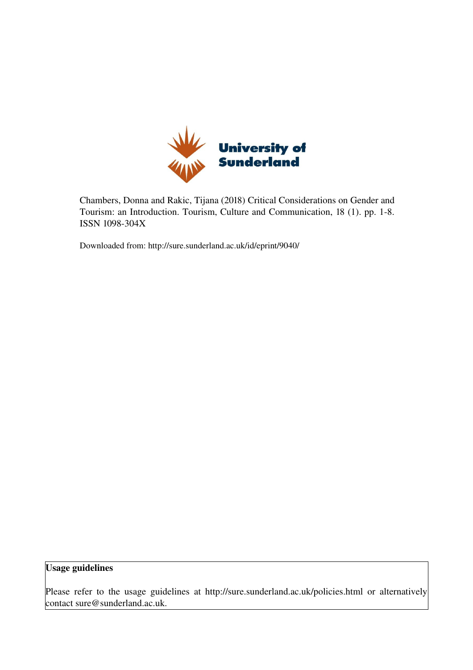

Chambers, Donna and Rakic, Tijana (2018) Critical Considerations on Gender and Tourism: an Introduction. Tourism, Culture and Communication, 18 (1). pp. 1-8. ISSN 1098-304X

Downloaded from: http://sure.sunderland.ac.uk/id/eprint/9040/

Usage guidelines

Please refer to the usage guidelines at http://sure.sunderland.ac.uk/policies.html or alternatively contact sure@sunderland.ac.uk.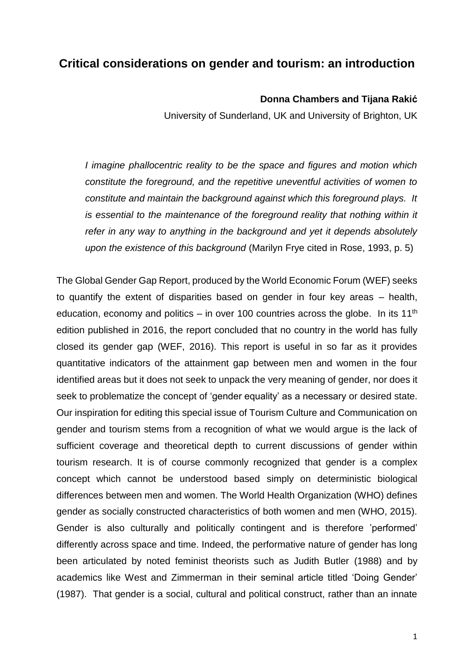## **Critical considerations on gender and tourism: an introduction**

## **Donna Chambers and Tijana Rakić**

University of Sunderland, UK and University of Brighton, UK

*I imagine phallocentric reality to be the space and figures and motion which constitute the foreground, and the repetitive uneventful activities of women to constitute and maintain the background against which this foreground plays. It is essential to the maintenance of the foreground reality that nothing within it refer in any way to anything in the background and yet it depends absolutely upon the existence of this background* (Marilyn Frye cited in Rose, 1993, p. 5)

The Global Gender Gap Report, produced by the World Economic Forum (WEF) seeks to quantify the extent of disparities based on gender in four key areas – health, education, economy and politics  $-$  in over 100 countries across the globe. In its 11<sup>th</sup> edition published in 2016, the report concluded that no country in the world has fully closed its gender gap (WEF, 2016). This report is useful in so far as it provides quantitative indicators of the attainment gap between men and women in the four identified areas but it does not seek to unpack the very meaning of gender, nor does it seek to problematize the concept of 'gender equality' as a necessary or desired state. Our inspiration for editing this special issue of Tourism Culture and Communication on gender and tourism stems from a recognition of what we would argue is the lack of sufficient coverage and theoretical depth to current discussions of gender within tourism research. It is of course commonly recognized that gender is a complex concept which cannot be understood based simply on deterministic biological differences between men and women. The World Health Organization (WHO) defines gender as socially constructed characteristics of both women and men (WHO, 2015). Gender is also culturally and politically contingent and is therefore 'performed' differently across space and time. Indeed, the performative nature of gender has long been articulated by noted feminist theorists such as Judith Butler (1988) and by academics like West and Zimmerman in their seminal article titled 'Doing Gender' (1987). That gender is a social, cultural and political construct, rather than an innate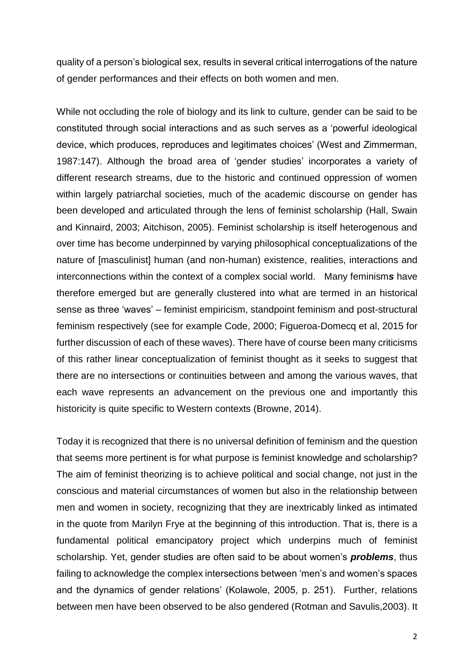quality of a person's biological sex, results in several critical interrogations of the nature of gender performances and their effects on both women and men.

While not occluding the role of biology and its link to culture, gender can be said to be constituted through social interactions and as such serves as a 'powerful ideological device, which produces, reproduces and legitimates choices' (West and Zimmerman, 1987:147). Although the broad area of 'gender studies' incorporates a variety of different research streams, due to the historic and continued oppression of women within largely patriarchal societies, much of the academic discourse on gender has been developed and articulated through the lens of feminist scholarship (Hall, Swain and Kinnaird, 2003; Aitchison, 2005). Feminist scholarship is itself heterogenous and over time has become underpinned by varying philosophical conceptualizations of the nature of [masculinist] human (and non-human) existence, realities, interactions and interconnections within the context of a complex social world. Many feminism*s* have therefore emerged but are generally clustered into what are termed in an historical sense as three 'waves' – feminist empiricism, standpoint feminism and post-structural feminism respectively (see for example Code, 2000; Figueroa-Domecq et al, 2015 for further discussion of each of these waves). There have of course been many criticisms of this rather linear conceptualization of feminist thought as it seeks to suggest that there are no intersections or continuities between and among the various waves, that each wave represents an advancement on the previous one and importantly this historicity is quite specific to Western contexts (Browne, 2014).

Today it is recognized that there is no universal definition of feminism and the question that seems more pertinent is for what purpose is feminist knowledge and scholarship? The aim of feminist theorizing is to achieve political and social change, not just in the conscious and material circumstances of women but also in the relationship between men and women in society, recognizing that they are inextricably linked as intimated in the quote from Marilyn Frye at the beginning of this introduction. That is, there is a fundamental political emancipatory project which underpins much of feminist scholarship. Yet, gender studies are often said to be about women's *problems*, thus failing to acknowledge the complex intersections between 'men's and women's spaces and the dynamics of gender relations' (Kolawole, 2005, p. 251). Further, relations between men have been observed to be also gendered (Rotman and Savulis,2003). It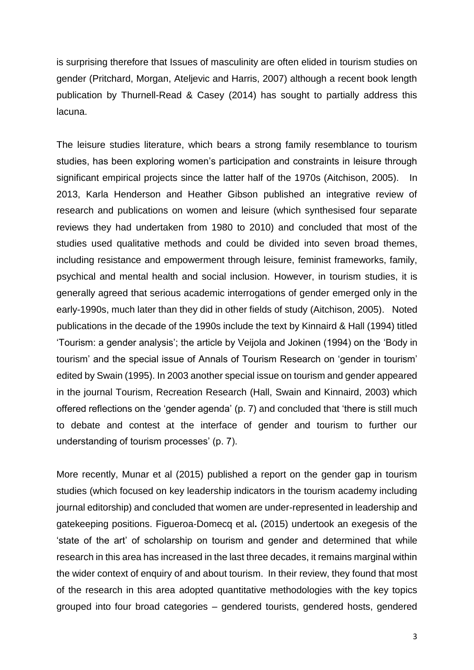is surprising therefore that Issues of masculinity are often elided in tourism studies on gender (Pritchard, Morgan, Ateljevic and Harris, 2007) although a recent book length publication by Thurnell-Read & Casey (2014) has sought to partially address this lacuna.

The leisure studies literature, which bears a strong family resemblance to tourism studies, has been exploring women's participation and constraints in leisure through significant empirical projects since the latter half of the 1970s (Aitchison, 2005). In 2013, Karla Henderson and Heather Gibson published an integrative review of research and publications on women and leisure (which synthesised four separate reviews they had undertaken from 1980 to 2010) and concluded that most of the studies used qualitative methods and could be divided into seven broad themes, including resistance and empowerment through leisure, feminist frameworks, family, psychical and mental health and social inclusion. However, in tourism studies, it is generally agreed that serious academic interrogations of gender emerged only in the early-1990s, much later than they did in other fields of study (Aitchison, 2005). Noted publications in the decade of the 1990s include the text by Kinnaird & Hall (1994) titled 'Tourism: a gender analysis'; the article by Veijola and Jokinen (1994) on the 'Body in tourism' and the special issue of Annals of Tourism Research on 'gender in tourism' edited by Swain (1995). In 2003 another special issue on tourism and gender appeared in the journal Tourism, Recreation Research (Hall, Swain and Kinnaird, 2003) which offered reflections on the 'gender agenda' (p. 7) and concluded that 'there is still much to debate and contest at the interface of gender and tourism to further our understanding of tourism processes' (p. 7).

More recently, Munar et al (2015) published a report on the gender gap in tourism studies (which focused on key leadership indicators in the tourism academy including journal editorship) and concluded that women are under-represented in leadership and gatekeeping positions. Figueroa-Domecq et al**.** (2015) undertook an exegesis of the 'state of the art' of scholarship on tourism and gender and determined that while research in this area has increased in the last three decades, it remains marginal within the wider context of enquiry of and about tourism. In their review, they found that most of the research in this area adopted quantitative methodologies with the key topics grouped into four broad categories – gendered tourists, gendered hosts, gendered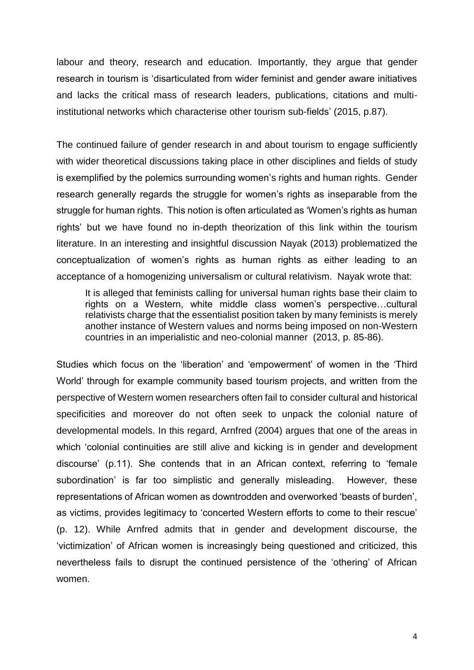labour and theory, research and education. Importantly, they argue that gender research in tourism is 'disarticulated from wider feminist and gender aware initiatives and lacks the critical mass of research leaders, publications, citations and multiinstitutional networks which characterise other tourism sub-fields' (2015, p.87).

The continued failure of gender research in and about tourism to engage sufficiently with wider theoretical discussions taking place in other disciplines and fields of study is exemplified by the polemics surrounding women's rights and human rights. Gender research generally regards the struggle for women's rights as inseparable from the struggle for human rights. This notion is often articulated as 'Women's rights as human rights' but we have found no in-depth theorization of this link within the tourism literature. In an interesting and insightful discussion Nayak (2013) problematized the conceptualization of women's rights as human rights as either leading to an acceptance of a homogenizing universalism or cultural relativism. Nayak wrote that:

It is alleged that feminists calling for universal human rights base their claim to rights on a Western, white middle class women's perspective…cultural relativists charge that the essentialist position taken by many feminists is merely another instance of Western values and norms being imposed on non-Western countries in an imperialistic and neo-colonial manner (2013, p. 85-86).

Studies which focus on the 'liberation' and 'empowerment' of women in the 'Third World' through for example community based tourism projects, and written from the perspective of Western women researchers often fail to consider cultural and historical specificities and moreover do not often seek to unpack the colonial nature of developmental models. In this regard, Arnfred (2004) argues that one of the areas in which 'colonial continuities are still alive and kicking is in gender and development discourse' (p.11). She contends that in an African context, referring to 'female subordination' is far too simplistic and generally misleading. However, these representations of African women as downtrodden and overworked 'beasts of burden', as victims, provides legitimacy to 'concerted Western efforts to come to their rescue' (p. 12). While Arnfred admits that in gender and development discourse, the 'victimization' of African women is increasingly being questioned and criticized, this nevertheless fails to disrupt the continued persistence of the 'othering' of African women.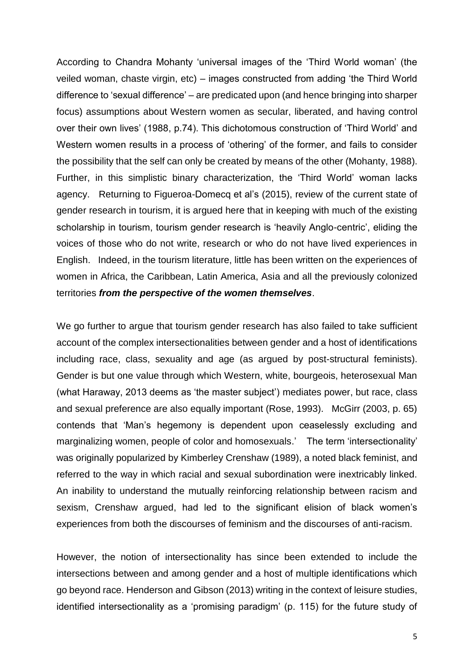According to Chandra Mohanty 'universal images of the 'Third World woman' (the veiled woman, chaste virgin, etc) – images constructed from adding 'the Third World difference to 'sexual difference' – are predicated upon (and hence bringing into sharper focus) assumptions about Western women as secular, liberated, and having control over their own lives' (1988, p.74). This dichotomous construction of 'Third World' and Western women results in a process of 'othering' of the former, and fails to consider the possibility that the self can only be created by means of the other (Mohanty, 1988). Further, in this simplistic binary characterization, the 'Third World' woman lacks agency. Returning to Figueroa-Domecq et al's (2015), review of the current state of gender research in tourism, it is argued here that in keeping with much of the existing scholarship in tourism, tourism gender research is 'heavily Anglo-centric', eliding the voices of those who do not write, research or who do not have lived experiences in English. Indeed, in the tourism literature, little has been written on the experiences of women in Africa, the Caribbean, Latin America, Asia and all the previously colonized territories *from the perspective of the women themselves*.

We go further to argue that tourism gender research has also failed to take sufficient account of the complex intersectionalities between gender and a host of identifications including race, class, sexuality and age (as argued by post-structural feminists). Gender is but one value through which Western, white, bourgeois, heterosexual Man (what Haraway, 2013 deems as 'the master subject') mediates power, but race, class and sexual preference are also equally important (Rose, 1993). McGirr (2003, p. 65) contends that 'Man's hegemony is dependent upon ceaselessly excluding and marginalizing women, people of color and homosexuals.' The term 'intersectionality' was originally popularized by Kimberley Crenshaw (1989), a noted black feminist, and referred to the way in which racial and sexual subordination were inextricably linked. An inability to understand the mutually reinforcing relationship between racism and sexism, Crenshaw argued, had led to the significant elision of black women's experiences from both the discourses of feminism and the discourses of anti-racism.

However, the notion of intersectionality has since been extended to include the intersections between and among gender and a host of multiple identifications which go beyond race. Henderson and Gibson (2013) writing in the context of leisure studies, identified intersectionality as a 'promising paradigm' (p. 115) for the future study of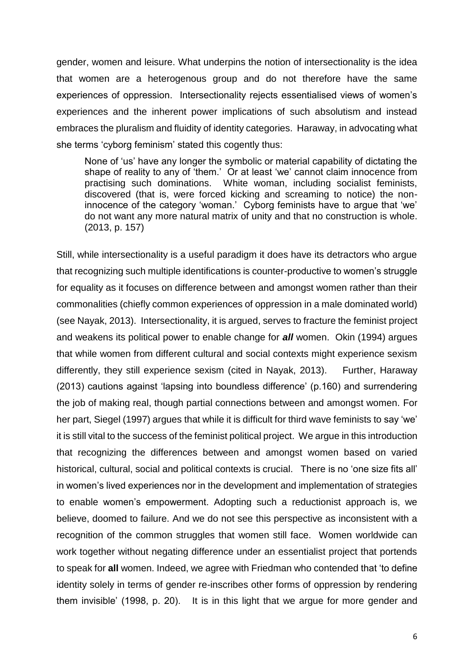gender, women and leisure. What underpins the notion of intersectionality is the idea that women are a heterogenous group and do not therefore have the same experiences of oppression. Intersectionality rejects essentialised views of women's experiences and the inherent power implications of such absolutism and instead embraces the pluralism and fluidity of identity categories. Haraway, in advocating what she terms 'cyborg feminism' stated this cogently thus:

None of 'us' have any longer the symbolic or material capability of dictating the shape of reality to any of 'them.' Or at least 'we' cannot claim innocence from practising such dominations. White woman, including socialist feminists, discovered (that is, were forced kicking and screaming to notice) the noninnocence of the category 'woman.' Cyborg feminists have to argue that 'we' do not want any more natural matrix of unity and that no construction is whole. (2013, p. 157)

Still, while intersectionality is a useful paradigm it does have its detractors who argue that recognizing such multiple identifications is counter-productive to women's struggle for equality as it focuses on difference between and amongst women rather than their commonalities (chiefly common experiences of oppression in a male dominated world) (see Nayak, 2013). Intersectionality, it is argued, serves to fracture the feminist project and weakens its political power to enable change for *all* women. Okin (1994) argues that while women from different cultural and social contexts might experience sexism differently, they still experience sexism (cited in Nayak, 2013). Further, Haraway (2013) cautions against 'lapsing into boundless difference' (p.160) and surrendering the job of making real, though partial connections between and amongst women. For her part, Siegel (1997) argues that while it is difficult for third wave feminists to say 'we' it is still vital to the success of the feminist political project. We argue in this introduction that recognizing the differences between and amongst women based on varied historical, cultural, social and political contexts is crucial. There is no 'one size fits all' in women's lived experiences nor in the development and implementation of strategies to enable women's empowerment. Adopting such a reductionist approach is, we believe, doomed to failure. And we do not see this perspective as inconsistent with a recognition of the common struggles that women still face. Women worldwide can work together without negating difference under an essentialist project that portends to speak for **all** women. Indeed, we agree with Friedman who contended that 'to define identity solely in terms of gender re-inscribes other forms of oppression by rendering them invisible' (1998, p. 20). It is in this light that we argue for more gender and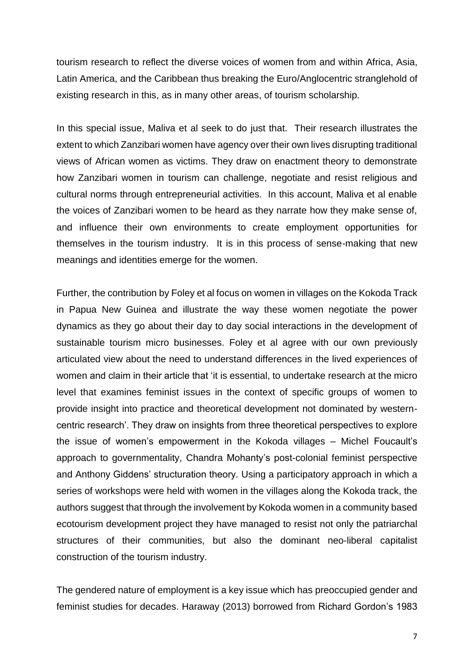tourism research to reflect the diverse voices of women from and within Africa, Asia, Latin America, and the Caribbean thus breaking the Euro/Anglocentric stranglehold of existing research in this, as in many other areas, of tourism scholarship.

In this special issue, Maliva et al seek to do just that. Their research illustrates the extent to which Zanzibari women have agency over their own lives disrupting traditional views of African women as victims. They draw on enactment theory to demonstrate how Zanzibari women in tourism can challenge, negotiate and resist religious and cultural norms through entrepreneurial activities. In this account, Maliva et al enable the voices of Zanzibari women to be heard as they narrate how they make sense of, and influence their own environments to create employment opportunities for themselves in the tourism industry. It is in this process of sense-making that new meanings and identities emerge for the women.

Further, the contribution by Foley et al focus on women in villages on the Kokoda Track in Papua New Guinea and illustrate the way these women negotiate the power dynamics as they go about their day to day social interactions in the development of sustainable tourism micro businesses. Foley et al agree with our own previously articulated view about the need to understand differences in the lived experiences of women and claim in their article that 'it is essential, to undertake research at the micro level that examines feminist issues in the context of specific groups of women to provide insight into practice and theoretical development not dominated by westerncentric research'. They draw on insights from three theoretical perspectives to explore the issue of women's empowerment in the Kokoda villages – Michel Foucault's approach to governmentality, Chandra Mohanty's post-colonial feminist perspective and Anthony Giddens' structuration theory. Using a participatory approach in which a series of workshops were held with women in the villages along the Kokoda track, the authors suggest that through the involvement by Kokoda women in a community based ecotourism development project they have managed to resist not only the patriarchal structures of their communities, but also the dominant neo-liberal capitalist construction of the tourism industry.

The gendered nature of employment is a key issue which has preoccupied gender and feminist studies for decades. Haraway (2013) borrowed from Richard Gordon's 1983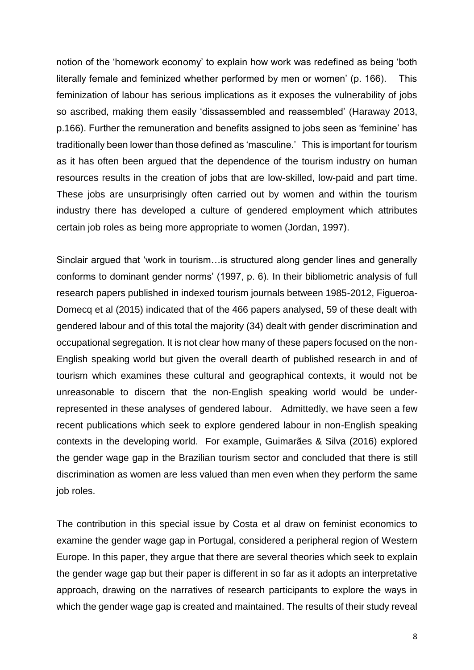notion of the 'homework economy' to explain how work was redefined as being 'both literally female and feminized whether performed by men or women' (p. 166). This feminization of labour has serious implications as it exposes the vulnerability of jobs so ascribed, making them easily 'dissassembled and reassembled' (Haraway 2013, p.166). Further the remuneration and benefits assigned to jobs seen as 'feminine' has traditionally been lower than those defined as 'masculine.' This is important for tourism as it has often been argued that the dependence of the tourism industry on human resources results in the creation of jobs that are low-skilled, low-paid and part time. These jobs are unsurprisingly often carried out by women and within the tourism industry there has developed a culture of gendered employment which attributes certain job roles as being more appropriate to women (Jordan, 1997).

Sinclair argued that 'work in tourism…is structured along gender lines and generally conforms to dominant gender norms' (1997, p. 6). In their bibliometric analysis of full research papers published in indexed tourism journals between 1985-2012, Figueroa-Domecq et al (2015) indicated that of the 466 papers analysed, 59 of these dealt with gendered labour and of this total the majority (34) dealt with gender discrimination and occupational segregation. It is not clear how many of these papers focused on the non-English speaking world but given the overall dearth of published research in and of tourism which examines these cultural and geographical contexts, it would not be unreasonable to discern that the non-English speaking world would be underrepresented in these analyses of gendered labour. Admittedly, we have seen a few recent publications which seek to explore gendered labour in non-English speaking contexts in the developing world. For example, Guimarães & Silva (2016) explored the gender wage gap in the Brazilian tourism sector and concluded that there is still discrimination as women are less valued than men even when they perform the same job roles.

The contribution in this special issue by Costa et al draw on feminist economics to examine the gender wage gap in Portugal, considered a peripheral region of Western Europe. In this paper, they argue that there are several theories which seek to explain the gender wage gap but their paper is different in so far as it adopts an interpretative approach, drawing on the narratives of research participants to explore the ways in which the gender wage gap is created and maintained. The results of their study reveal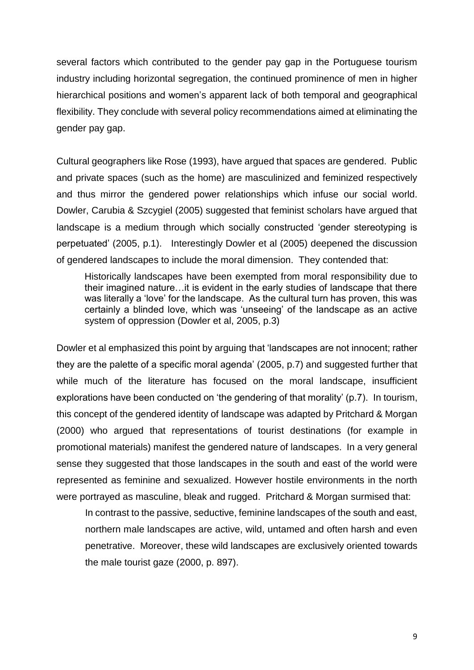several factors which contributed to the gender pay gap in the Portuguese tourism industry including horizontal segregation, the continued prominence of men in higher hierarchical positions and women's apparent lack of both temporal and geographical flexibility. They conclude with several policy recommendations aimed at eliminating the gender pay gap.

Cultural geographers like Rose (1993), have argued that spaces are gendered. Public and private spaces (such as the home) are masculinized and feminized respectively and thus mirror the gendered power relationships which infuse our social world. Dowler, Carubia & Szcygiel (2005) suggested that feminist scholars have argued that landscape is a medium through which socially constructed 'gender stereotyping is perpetuated' (2005, p.1). Interestingly Dowler et al (2005) deepened the discussion of gendered landscapes to include the moral dimension. They contended that:

Historically landscapes have been exempted from moral responsibility due to their imagined nature…it is evident in the early studies of landscape that there was literally a 'love' for the landscape. As the cultural turn has proven, this was certainly a blinded love, which was 'unseeing' of the landscape as an active system of oppression (Dowler et al, 2005, p.3)

Dowler et al emphasized this point by arguing that 'landscapes are not innocent; rather they are the palette of a specific moral agenda' (2005, p.7) and suggested further that while much of the literature has focused on the moral landscape, insufficient explorations have been conducted on 'the gendering of that morality' (p.7). In tourism, this concept of the gendered identity of landscape was adapted by Pritchard & Morgan (2000) who argued that representations of tourist destinations (for example in promotional materials) manifest the gendered nature of landscapes. In a very general sense they suggested that those landscapes in the south and east of the world were represented as feminine and sexualized. However hostile environments in the north were portrayed as masculine, bleak and rugged. Pritchard & Morgan surmised that:

In contrast to the passive, seductive, feminine landscapes of the south and east, northern male landscapes are active, wild, untamed and often harsh and even penetrative. Moreover, these wild landscapes are exclusively oriented towards the male tourist gaze (2000, p. 897).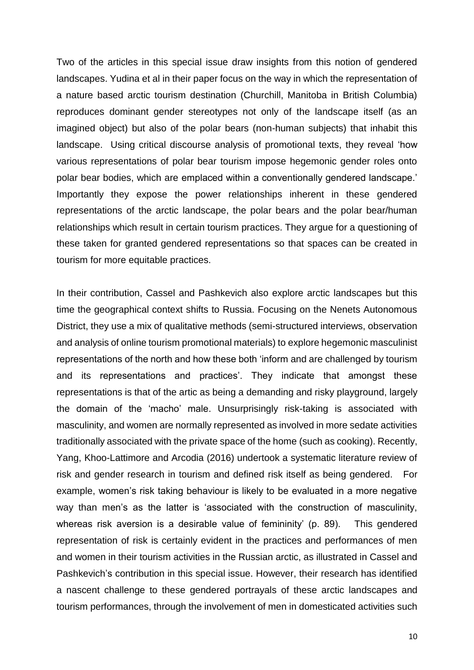Two of the articles in this special issue draw insights from this notion of gendered landscapes. Yudina et al in their paper focus on the way in which the representation of a nature based arctic tourism destination (Churchill, Manitoba in British Columbia) reproduces dominant gender stereotypes not only of the landscape itself (as an imagined object) but also of the polar bears (non-human subjects) that inhabit this landscape. Using critical discourse analysis of promotional texts, they reveal 'how various representations of polar bear tourism impose hegemonic gender roles onto polar bear bodies, which are emplaced within a conventionally gendered landscape.' Importantly they expose the power relationships inherent in these gendered representations of the arctic landscape, the polar bears and the polar bear/human relationships which result in certain tourism practices. They argue for a questioning of these taken for granted gendered representations so that spaces can be created in tourism for more equitable practices.

In their contribution, Cassel and Pashkevich also explore arctic landscapes but this time the geographical context shifts to Russia. Focusing on the Nenets Autonomous District, they use a mix of qualitative methods (semi-structured interviews, observation and analysis of online tourism promotional materials) to explore hegemonic masculinist representations of the north and how these both 'inform and are challenged by tourism and its representations and practices'. They indicate that amongst these representations is that of the artic as being a demanding and risky playground, largely the domain of the 'macho' male. Unsurprisingly risk-taking is associated with masculinity, and women are normally represented as involved in more sedate activities traditionally associated with the private space of the home (such as cooking). Recently, Yang, Khoo-Lattimore and Arcodia (2016) undertook a systematic literature review of risk and gender research in tourism and defined risk itself as being gendered. For example, women's risk taking behaviour is likely to be evaluated in a more negative way than men's as the latter is 'associated with the construction of masculinity, whereas risk aversion is a desirable value of femininity' (p. 89). This gendered representation of risk is certainly evident in the practices and performances of men and women in their tourism activities in the Russian arctic, as illustrated in Cassel and Pashkevich's contribution in this special issue. However, their research has identified a nascent challenge to these gendered portrayals of these arctic landscapes and tourism performances, through the involvement of men in domesticated activities such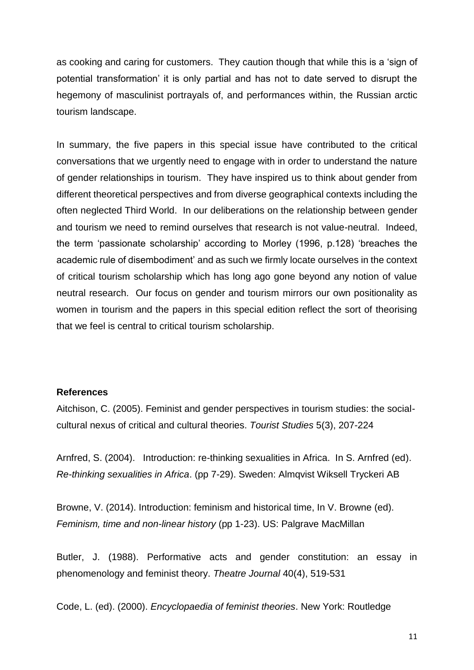as cooking and caring for customers. They caution though that while this is a 'sign of potential transformation' it is only partial and has not to date served to disrupt the hegemony of masculinist portrayals of, and performances within, the Russian arctic tourism landscape.

In summary, the five papers in this special issue have contributed to the critical conversations that we urgently need to engage with in order to understand the nature of gender relationships in tourism. They have inspired us to think about gender from different theoretical perspectives and from diverse geographical contexts including the often neglected Third World. In our deliberations on the relationship between gender and tourism we need to remind ourselves that research is not value-neutral. Indeed, the term 'passionate scholarship' according to Morley (1996, p.128) 'breaches the academic rule of disembodiment' and as such we firmly locate ourselves in the context of critical tourism scholarship which has long ago gone beyond any notion of value neutral research. Our focus on gender and tourism mirrors our own positionality as women in tourism and the papers in this special edition reflect the sort of theorising that we feel is central to critical tourism scholarship.

## **References**

Aitchison, C. (2005). Feminist and gender perspectives in tourism studies: the socialcultural nexus of critical and cultural theories. *Tourist Studies* 5(3), 207-224

Arnfred, S. (2004). Introduction: re-thinking sexualities in Africa. In S. Arnfred (ed). *Re-thinking sexualities in Africa*. (pp 7-29). Sweden: Almqvist Wiksell Tryckeri AB

Browne, V. (2014). Introduction: feminism and historical time, In V. Browne (ed). *Feminism, time and non-linear history* (pp 1-23). US: Palgrave MacMillan

Butler, J. (1988). Performative acts and gender constitution: an essay in phenomenology and feminist theory. *Theatre Journal* 40(4), 519-531

Code, L. (ed). (2000). *Encyclopaedia of feminist theories*. New York: Routledge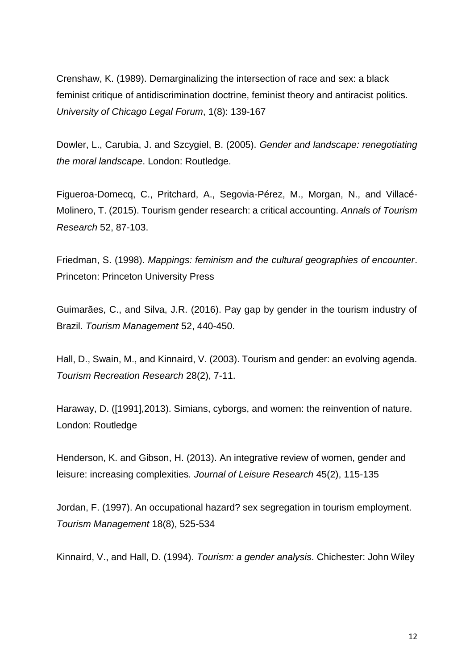Crenshaw, K. (1989). Demarginalizing the intersection of race and sex: a black feminist critique of antidiscrimination doctrine, feminist theory and antiracist politics. *University of Chicago Legal Forum*, 1(8): 139-167

Dowler, L., Carubia, J. and Szcygiel, B. (2005). *Gender and landscape: renegotiating the moral landscape*. London: Routledge.

Figueroa-Domecq, C., Pritchard, A., Segovia-Pérez, M., Morgan, N., and Villacé-Molinero, T. (2015). Tourism gender research: a critical accounting. *Annals of Tourism Research* 52, 87-103.

Friedman, S. (1998). *Mappings: feminism and the cultural geographies of encounter*. Princeton: Princeton University Press

Guimarães, C., and Silva, J.R. (2016). Pay gap by gender in the tourism industry of Brazil. *Tourism Management* 52, 440-450.

Hall, D., Swain, M., and Kinnaird, V. (2003). Tourism and gender: an evolving agenda. *Tourism Recreation Research* 28(2), 7-11.

Haraway, D. ([1991],2013). Simians, cyborgs, and women: the reinvention of nature. London: Routledge

Henderson, K. and Gibson, H. (2013). An integrative review of women, gender and leisure: increasing complexities*. Journal of Leisure Research* 45(2), 115-135

Jordan, F. (1997). An occupational hazard? sex segregation in tourism employment. *Tourism Management* 18(8), 525-534

Kinnaird, V., and Hall, D. (1994). *Tourism: a gender analysis*. Chichester: John Wiley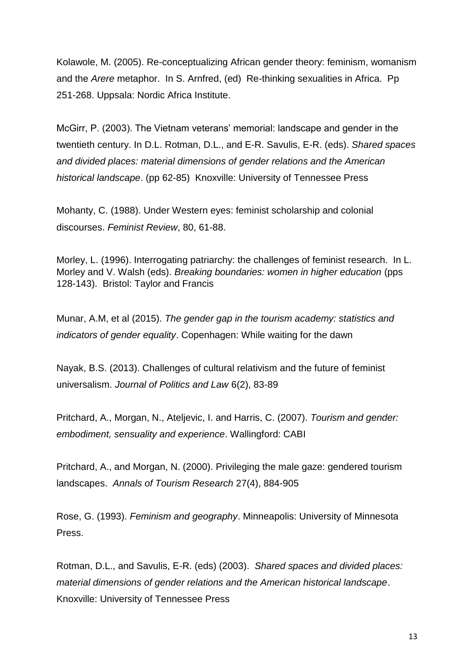Kolawole, M. (2005). Re-conceptualizing African gender theory: feminism, womanism and the *Arere* metaphor. In S. Arnfred, (ed) Re-thinking sexualities in Africa. Pp 251-268. Uppsala: Nordic Africa Institute.

McGirr, P. (2003). The Vietnam veterans' memorial: landscape and gender in the twentieth century. In D.L. Rotman, D.L., and E-R. Savulis, E-R. (eds). *Shared spaces and divided places: material dimensions of gender relations and the American historical landscape*. (pp 62-85) Knoxville: University of Tennessee Press

Mohanty, C. (1988). Under Western eyes: feminist scholarship and colonial discourses. *Feminist Review*, 80, 61-88.

Morley, L. (1996). Interrogating patriarchy: the challenges of feminist research. In L. Morley and V. Walsh (eds). *Breaking boundaries: women in higher education* (pps 128-143). Bristol: Taylor and Francis

Munar, A.M, et al (2015). *The gender gap in the tourism academy: statistics and indicators of gender equality*. Copenhagen: While waiting for the dawn

Nayak, B.S. (2013). Challenges of cultural relativism and the future of feminist universalism. *Journal of Politics and Law* 6(2), 83-89

Pritchard, A., Morgan, N., Ateljevic, I. and Harris, C. (2007). *Tourism and gender: embodiment, sensuality and experience*. Wallingford: CABI

Pritchard, A., and Morgan, N. (2000). Privileging the male gaze: gendered tourism landscapes. *Annals of Tourism Research* 27(4), 884-905

Rose, G. (1993). *Feminism and geography*. Minneapolis: University of Minnesota Press.

Rotman, D.L., and Savulis, E-R. (eds) (2003). *Shared spaces and divided places: material dimensions of gender relations and the American historical landscape*. Knoxville: University of Tennessee Press